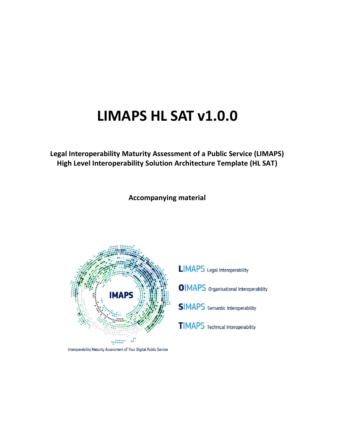# **LIMAPS HL SAT v1.0.0**

**Legal Interoperability Maturity Assessment of a Public Service (LIMAPS) High Level Interoperability Solution Architecture Template (HL SAT)**

**Accompanying material**



Interoperability Maturity Assessment of Your Digital Public Service

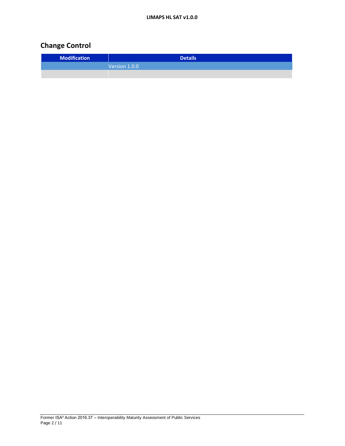# **Change Control**

| <b>Modification</b> | <b>Details</b> |
|---------------------|----------------|
|                     | Version 1.0.0  |
|                     |                |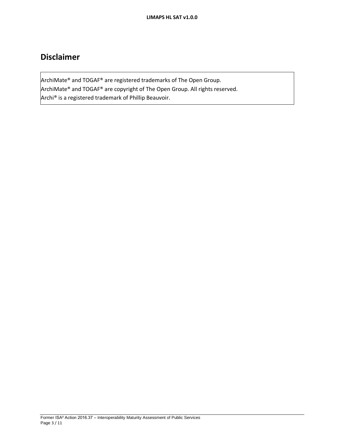# **Disclaimer**

ArchiMate® and TOGAF® are registered trademarks of The Open Group. ArchiMate® and TOGAF® are copyright of The Open Group. All rights reserved. Archi® is a registered trademark of Phillip Beauvoir.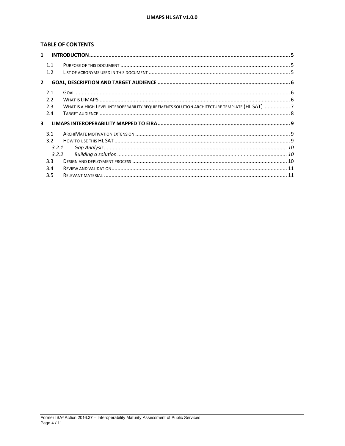### **TABLE OF CONTENTS**

| $\mathbf{1}$  |     |                                                                                              |  |  |
|---------------|-----|----------------------------------------------------------------------------------------------|--|--|
|               | 1.1 |                                                                                              |  |  |
|               | 1.2 |                                                                                              |  |  |
| $\mathcal{P}$ |     |                                                                                              |  |  |
|               | 2.1 |                                                                                              |  |  |
|               | 2.2 |                                                                                              |  |  |
|               | 2.3 | WHAT IS A HIGH LEVEL INTEROPERABILITY REQUIREMENTS SOLUTION ARCHITECTURE TEMPLATE (HL SAT) 7 |  |  |
|               | 2.4 |                                                                                              |  |  |
| 3             |     |                                                                                              |  |  |
|               | 3.1 |                                                                                              |  |  |
|               | 3.2 |                                                                                              |  |  |
| 3.2.1         |     |                                                                                              |  |  |
| 3.2.2         |     |                                                                                              |  |  |
|               | 3.3 |                                                                                              |  |  |
|               | 3.4 |                                                                                              |  |  |
|               | 3.5 |                                                                                              |  |  |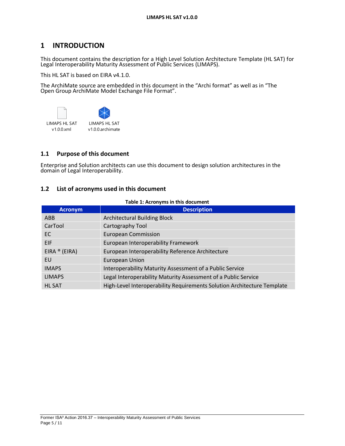# **1 INTRODUCTION**

This document contains the description for a High Level Solution Architecture Template (HL SAT) for Legal Interoperability Maturity Assessment of Public Services (LIMAPS).

This HL SAT is based on EIRA v4.1.0.

The ArchiMate source are embedded in this document in the "Archi format" as well as in "The Open Group ArchiMate Model Exchange File Format".



### **1.1 Purpose of this document**

Enterprise and Solution architects can use this document to design solution architectures in the domain of Legal Interoperability.

#### **1.2 List of acronyms used in this document**

#### **Table 1: Acronyms in this document**

| <b>Acronym</b> | <b>Description</b>                                                      |
|----------------|-------------------------------------------------------------------------|
| ABB            | <b>Architectural Building Block</b>                                     |
| CarTool        | Cartography Tool                                                        |
| EC.            | <b>European Commission</b>                                              |
| <b>EIF</b>     | European Interoperability Framework                                     |
| EIRA ® (EIRA)  | European Interoperability Reference Architecture                        |
| EU             | <b>European Union</b>                                                   |
| <b>IMAPS</b>   | Interoperability Maturity Assessment of a Public Service                |
| <b>LIMAPS</b>  | Legal Interoperability Maturity Assessment of a Public Service          |
| <b>HL SAT</b>  | High-Level Interoperability Requirements Solution Architecture Template |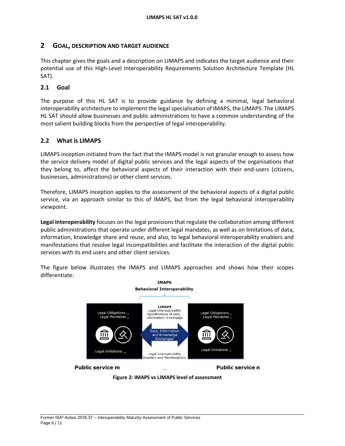### **2 GOAL, DESCRIPTION AND TARGET AUDIENCE**

This chapter gives the goals and a description on LIMAPS and indicates the target audience and their potential use of this High-Level Interoperability Requirements Solution Architecture Template (HL SAT).

### **2.1 Goal**

The purpose of this HL SAT is to provide guidance by defining a minimal, legal behavioral interoperability architecture to implement the legal specialisation of IMAPS, the LIMAPS. The LIMAPS HL SAT should allow businesses and public administrations to have a common understanding of the most salient building blocks from the perspective of legal interoperability.

### **2.2 What is LIMAPS**

LIMAPS inception initiated from the fact that the IMAPS model is not granular enough to assess how the service delivery model of digital public services and the legal aspects of the organisations that they belong to, affect the behavioral aspects of their interaction with their end-users (citizens, businesses, administrations) or other client services.

Therefore, LIMAPS inception applies to the assessment of the behavioral aspects of a digital public service, via an approach similar to this of IMAPS, but from the legal behavioral interoperability viewpoint.

**Legal interoperability** focuses on the legal provisions that regulate the collaboration among different public administrations that operate under different legal mandates, as well as on limitations of data, information, knowledge share and reuse, and also, to legal behavioral interoperability enablers and manifestations that resolve legal incompatibilities and facilitate the interaction of the digital public services with its end users and other client services.



The figure below illustrates the IMAPS and LIMAPS approaches and shows how their scopes differentiate:

**Figure 2: IMAPS vs LIMAPS level of assessment**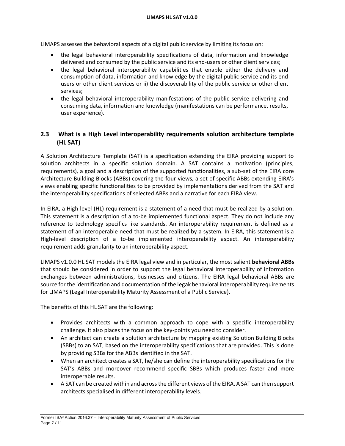LIMAPS assesses the behavioral aspects of a digital public service by limiting its focus on:

- the legal behavioral interoperability specifications of data, information and knowledge delivered and consumed by the public service and its end-users or other client services;
- the legal behavioral interoperability capabilities that enable either the delivery and consumption of data, information and knowledge by the digital public service and its end users or other client services or ii) the discoverability of the public service or other client services;
- the legal behavioral interoperability manifestations of the public service delivering and consuming data, information and knowledge (manifestations can be performance, results, user experience).

## **2.3 What is a High Level interoperability requirements solution architecture template (HL SAT)**

A Solution Architecture Template (SAT) is a specification extending the EIRA providing support to solution architects in a specific solution domain. A SAT contains a motivation (principles, requirements), a goal and a description of the supported functionalities, a sub-set of the EIRA core Architecture Building Blocks (ABBs) covering the four views, a set of specific ABBs extending EIRA's views enabling specific functionalities to be provided by implementations derived from the SAT and the interoperability specifications of selected ABBs and a narrative for each EIRA view.

In EIRA, a High-level (HL) requirement is a statement of a need that must be realized by a solution. This statement is a description of a to-be implemented functional aspect. They do not include any reference to technology specifics like standards. An interoperability requirement is defined as a statement of an interoperable need that must be realized by a system. In EIRA, this statement is a High-level description of a to-be implemented interoperability aspect. An interoperability requirement adds granularity to an interoperability aspect.

LIMAPS v1.0.0 HL SAT models the EIRA legal view and in particular, the most salient **behavioral ABBs** that should be considered in order to support the legal behavioral interoperability of information exchanges between administrations, businesses and citizens. The EIRA legal behavioral ABBs are source for the identification and documentation of the legak behavioral interoperability requirements for LIMAPS (Legal Interoperability Maturity Assessment of a Public Service).

The benefits of this HL SAT are the following:

- Provides architects with a common approach to cope with a specific interoperability challenge. It also places the focus on the key-points you need to consider.
- An architect can create a solution architecture by mapping existing Solution Building Blocks (SBBs) to an SAT, based on the interoperability specifications that are provided. This is done by providing SBBs for the ABBs identified in the SAT.
- When an architect creates a SAT, he/she can define the interoperability specifications for the SAT's ABBs and moreover recommend specific SBBs which produces faster and more interoperable results.
- A SAT can be created within and across the different views of the EIRA. A SAT can then support architects specialised in different interoperability levels.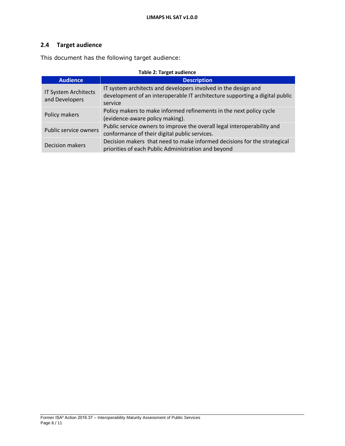# **2.4 Target audience**

This document has the following target audience:

| <b>Table 2: Target audience</b>        |                                                                                                                                                          |  |  |
|----------------------------------------|----------------------------------------------------------------------------------------------------------------------------------------------------------|--|--|
| <b>Audience</b>                        | <b>Description</b>                                                                                                                                       |  |  |
| IT System Architects<br>and Developers | IT system architects and developers involved in the design and<br>development of an interoperable IT architecture supporting a digital public<br>service |  |  |
| Policy makers                          | Policy makers to make informed refinements in the next policy cycle<br>(evidence-aware policy making).                                                   |  |  |
| Public service owners                  | Public service owners to improve the overall legal interoperability and<br>conformance of their digital public services.                                 |  |  |
| <b>Decision makers</b>                 | Decision makers that need to make informed decisions for the strategical<br>priorities of each Public Administration and beyond                          |  |  |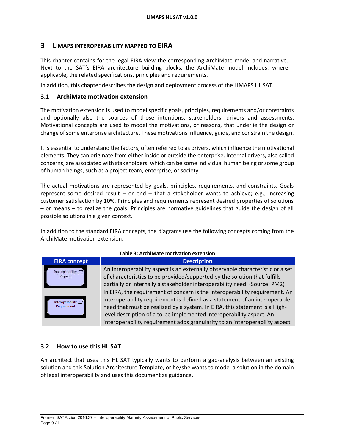### **3 LIMAPS INTEROPERABILITY MAPPED TO EIRA**

This chapter contains for the legal EIRA view the corresponding ArchiMate model and narrative. Next to the SAT's EIRA architecture building blocks, the ArchiMate model includes, where applicable, the related specifications, principles and requirements.

In addition, this chapter describes the design and deployment process of the LIMAPS HL SAT.

### **3.1 ArchiMate motivation extension**

The motivation extension is used to model specific goals, principles, requirements and/or constraints and optionally also the sources of those intentions; stakeholders, drivers and assessments. Motivational concepts are used to model the motivations, or reasons, that underlie the design or change of some enterprise architecture. These motivations influence, guide, and constrain the design.

It is essential to understand the factors, often referred to as drivers, which influence the motivational elements. They can originate from either inside or outside the enterprise. Internal drivers, also called concerns, are associated with stakeholders, which can be some individual human being or some group of human beings, such as a project team, enterprise, or society.

The actual motivations are represented by goals, principles, requirements, and constraints. Goals represent some desired result – or end – that a stakeholder wants to achieve; e.g., increasing customer satisfaction by 10%. Principles and requirements represent desired properties of solutions – or means – to realize the goals. Principles are normative guidelines that guide the design of all possible solutions in a given context.

In addition to the standard EIRA concepts, the diagrams use the following concepts coming from the ArchiMate motivation extension.

| Table 3: ArchiMate motivation extension |                                                                                                                                                                                                                                                                                                                                                                                                |  |
|-----------------------------------------|------------------------------------------------------------------------------------------------------------------------------------------------------------------------------------------------------------------------------------------------------------------------------------------------------------------------------------------------------------------------------------------------|--|
| <b>EIRA concept</b>                     | <b>Description</b>                                                                                                                                                                                                                                                                                                                                                                             |  |
| Interoperability $\Box$<br>Aspect       | An Interoperability aspect is an externally observable characteristic or a set<br>of characteristics to be provided/supported by the solution that fulfills<br>partially or internally a stakeholder interoperability need. (Source: PM2)                                                                                                                                                      |  |
| Interoperability $\Box$<br>Requirement  | In EIRA, the requirement of concern is the interoperability requirement. An<br>interoperability requirement is defined as a statement of an interoperable<br>need that must be realized by a system. In EIRA, this statement is a High-<br>level description of a to-be implemented interoperability aspect. An<br>interoperability requirement adds granularity to an interoperability aspect |  |

### **Table 3: ArchiMate motivation extension**

### **3.2 How to use this HL SAT**

An architect that uses this HL SAT typically wants to perform a gap-analysis between an existing solution and this Solution Architecture Template, or he/she wants to model a solution in the domain of legal interoperability and uses this document as guidance.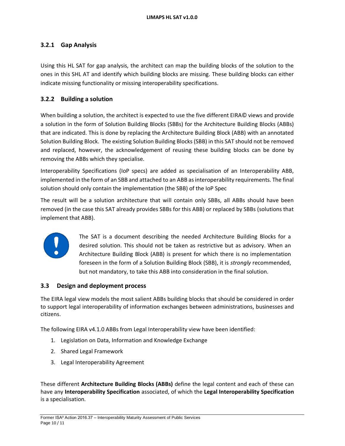### **3.2.1 Gap Analysis**

Using this HL SAT for gap analysis, the architect can map the building blocks of the solution to the ones in this SHL AT and identify which building blocks are missing. These building blocks can either indicate missing functionality or missing interoperability specifications.

### **3.2.2 Building a solution**

When building a solution, the architect is expected to use the five different EIRA© views and provide a solution in the form of Solution Building Blocks (SBBs) for the Architecture Building Blocks (ABBs) that are indicated. This is done by replacing the Architecture Building Block (ABB) with an annotated Solution Building Block. The existing Solution Building Blocks (SBB) in this SAT should not be removed and replaced, however, the acknowledgement of reusing these building blocks can be done by removing the ABBs which they specialise.

Interoperability Specifications (IoP specs) are added as specialisation of an Interoperability ABB, implemented in the form of an SBB and attached to an ABB as interoperability requirements. The final solution should only contain the implementation (the SBB) of the IoP Spec

The result will be a solution architecture that will contain only SBBs, all ABBs should have been removed (in the case this SAT already provides SBBs for this ABB) or replaced by SBBs (solutions that implement that ABB).



The SAT is a document describing the needed Architecture Building Blocks for a desired solution. This should not be taken as restrictive but as advisory. When an Architecture Building Block (ABB) is present for which there is no implementation foreseen in the form of a Solution Building Block (SBB), it is *strongly* recommended, but not mandatory, to take this ABB into consideration in the final solution.

### **3.3 Design and deployment process**

The EIRA legal view models the most salient ABBs building blocks that should be considered in order to support legal interoperability of information exchanges between administrations, businesses and citizens.

The following EIRA v4.1.0 ABBs from Legal Interoperability view have been identified:

- 1. Legislation on Data, Information and Knowledge Exchange
- 2. Shared Legal Framework
- 3. Legal Interoperability Agreement

These different **Architecture Building Blocks (ABBs)** define the legal content and each of these can have any **Interoperability Specification** associated, of which the **Legal Interoperability Specification**  is a specialisation.